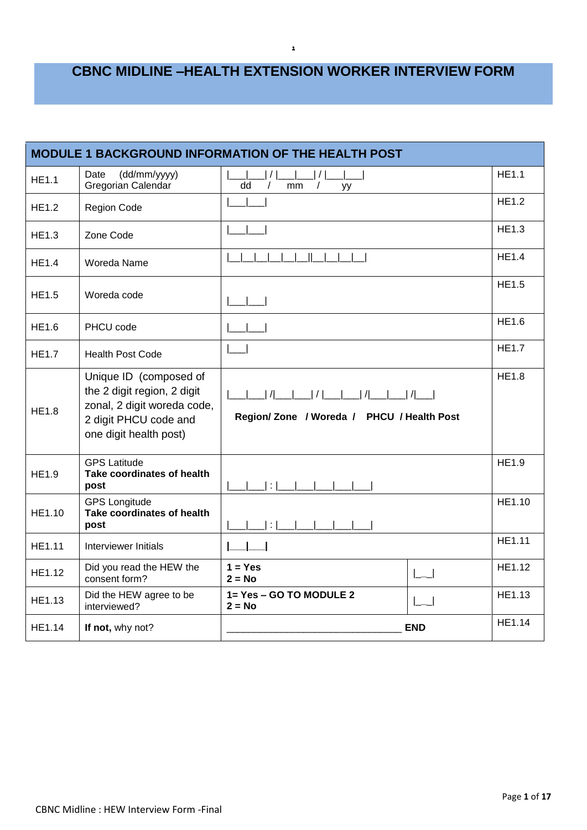# **CBNC MIDLINE –HEALTH EXTENSION WORKER INTERVIEW FORM**

**,**

| <b>MODULE 1 BACKGROUND INFORMATION OF THE HEALTH POST</b> |                                                                                                                                         |                                                                          |               |  |  |
|-----------------------------------------------------------|-----------------------------------------------------------------------------------------------------------------------------------------|--------------------------------------------------------------------------|---------------|--|--|
| <b>HE1.1</b>                                              | Date<br>(dd/mm/yyyy)<br>Gregorian Calendar                                                                                              | $\sqrt{2}$<br>$\left  \right $<br>dd<br>$\prime$<br>mm<br>$\prime$<br>уу | HE1.1         |  |  |
| <b>HE1.2</b>                                              | Region Code                                                                                                                             |                                                                          | <b>HE1.2</b>  |  |  |
| <b>HE1.3</b>                                              | Zone Code                                                                                                                               |                                                                          | <b>HE1.3</b>  |  |  |
| <b>HE1.4</b>                                              | Woreda Name                                                                                                                             |                                                                          | <b>HE1.4</b>  |  |  |
| <b>HE1.5</b>                                              | Woreda code                                                                                                                             |                                                                          | <b>HE1.5</b>  |  |  |
| <b>HE1.6</b>                                              | PHCU code                                                                                                                               |                                                                          | <b>HE1.6</b>  |  |  |
| <b>HE1.7</b>                                              | <b>Health Post Code</b>                                                                                                                 |                                                                          | <b>HE1.7</b>  |  |  |
| <b>HE1.8</b>                                              | Unique ID (composed of<br>the 2 digit region, 2 digit<br>zonal, 2 digit woreda code,<br>2 digit PHCU code and<br>one digit health post) | Region/Zone / Woreda / PHCU / Health Post                                | <b>HE1.8</b>  |  |  |
| <b>HE1.9</b>                                              | <b>GPS Latitude</b><br>Take coordinates of health<br>post                                                                               | Ι÷Ι                                                                      | <b>HE1.9</b>  |  |  |
| HE1.10                                                    | <b>GPS Longitude</b><br>Take coordinates of health<br>post                                                                              | $\pm$                                                                    | HE1.10        |  |  |
| <b>HE1.11</b>                                             | Interviewer Initials                                                                                                                    |                                                                          | <b>HE1.11</b> |  |  |
| <b>HE1.12</b>                                             | Did you read the HEW the<br>consent form?                                                                                               | $1 = Yes$<br>$2 = No$                                                    | HE1.12        |  |  |
| HE1.13                                                    | Did the HEW agree to be<br>interviewed?                                                                                                 | 1= Yes - GO TO MODULE 2<br>$2 = No$                                      | HE1.13        |  |  |
| HE1.14                                                    | If not, why not?                                                                                                                        | <b>END</b>                                                               | HE1.14        |  |  |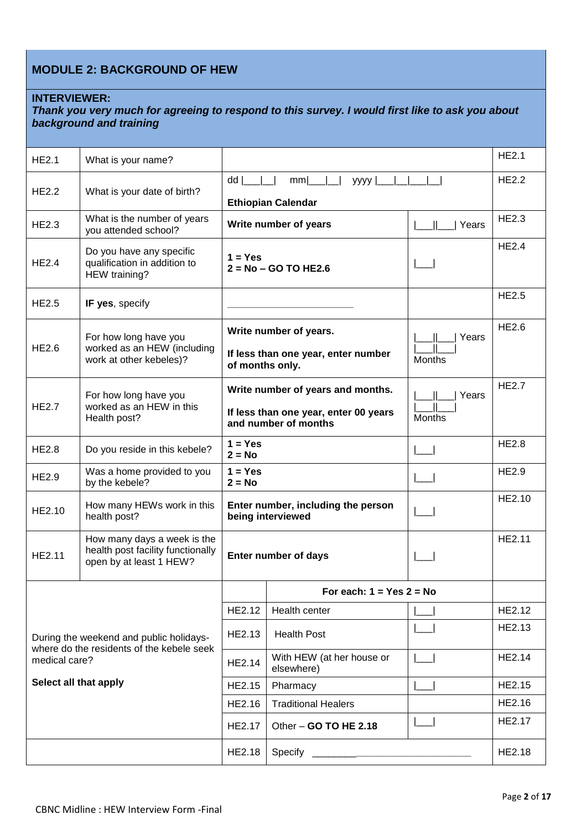## **MODULE 2: BACKGROUND OF HEW**

#### **INTERVIEWER:**

## *Thank you very much for agreeing to respond to this survey. I would first like to ask you about background and training*

| <b>HE2.1</b>          | What is your name?                                                                          |                                                                                                    |                                                         |                        | <b>HE2.1</b> |
|-----------------------|---------------------------------------------------------------------------------------------|----------------------------------------------------------------------------------------------------|---------------------------------------------------------|------------------------|--------------|
| <b>HE2.2</b>          | What is your date of birth?                                                                 | dd                                                                                                 | $yyyy$ $\vert$                                          |                        | <b>HE2.2</b> |
|                       |                                                                                             |                                                                                                    | <b>Ethiopian Calendar</b>                               |                        |              |
| <b>HE2.3</b>          | What is the number of years<br>you attended school?                                         |                                                                                                    | Write number of years                                   | Years                  | <b>HE2.3</b> |
| <b>HE2.4</b>          | Do you have any specific<br>qualification in addition to<br>HEW training?                   | $1 = Yes$<br>$2 = No - GO TO HE2.6$                                                                |                                                         |                        | <b>HE2.4</b> |
| <b>HE2.5</b>          | IF yes, specify                                                                             |                                                                                                    |                                                         |                        | HE2.5        |
| HE2.6                 | For how long have you<br>worked as an HEW (including<br>work at other kebeles)?             | Write number of years.<br>If less than one year, enter number<br>of months only.                   |                                                         | Years<br><b>Months</b> | <b>HE2.6</b> |
| <b>HE2.7</b>          | For how long have you<br>worked as an HEW in this<br>Health post?                           | Write number of years and months.<br>If less than one year, enter 00 years<br>and number of months |                                                         | Years<br><b>Months</b> | <b>HE2.7</b> |
| <b>HE2.8</b>          | Do you reside in this kebele?                                                               | $1 = Yes$<br>$2 = No$                                                                              |                                                         |                        | <b>HE2.8</b> |
| <b>HE2.9</b>          | Was a home provided to you<br>by the kebele?                                                | $1 = Yes$<br>$2 = No$                                                                              |                                                         |                        | <b>HE2.9</b> |
| HE2.10                | How many HEWs work in this<br>health post?                                                  |                                                                                                    | Enter number, including the person<br>being interviewed |                        | HE2.10       |
| <b>HE2.11</b>         | How many days a week is the<br>health post facility functionally<br>open by at least 1 HEW? |                                                                                                    | Enter number of days                                    |                        | HE2.11       |
|                       |                                                                                             |                                                                                                    | For each: $1 = Yes$ 2 = No                              |                        |              |
|                       |                                                                                             | <b>HE2.12</b>                                                                                      | Health center                                           |                        | HE2.12       |
|                       | During the weekend and public holidays-<br>where do the residents of the kebele seek        | HE2.13                                                                                             | <b>Health Post</b>                                      |                        | HE2.13       |
| medical care?         |                                                                                             | <b>HE2.14</b>                                                                                      | With HEW (at her house or<br>elsewhere)                 |                        | HE2.14       |
| Select all that apply |                                                                                             | <b>HE2.15</b>                                                                                      | Pharmacy                                                |                        | HE2.15       |
|                       |                                                                                             | HE2.16                                                                                             | <b>Traditional Healers</b>                              |                        | HE2.16       |
|                       |                                                                                             | HE2.17                                                                                             | Other - GO TO HE 2.18                                   |                        | HE2.17       |
|                       |                                                                                             | <b>HE2.18</b>                                                                                      |                                                         |                        | HE2.18       |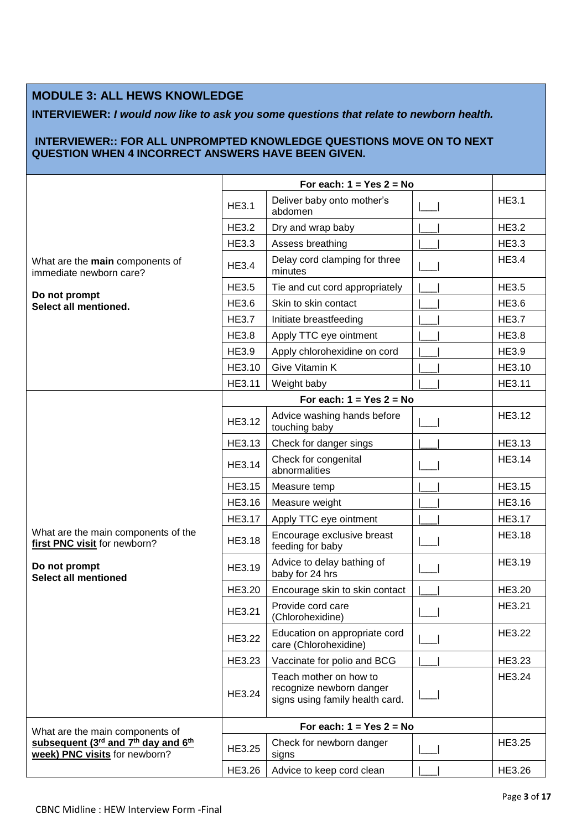## **MODULE 3: ALL HEWS KNOWLEDGE**

## **INTERVIEWER:** *I would now like to ask you some questions that relate to newborn health.*

#### **INTERVIEWER:: FOR ALL UNPROMPTED KNOWLEDGE QUESTIONS MOVE ON TO NEXT QUESTION WHEN 4 INCORRECT ANSWERS HAVE BEEN GIVEN.**

|                                                                                                         | For each: $1 = Yes$ 2 = No |                                                                                       |  |               |
|---------------------------------------------------------------------------------------------------------|----------------------------|---------------------------------------------------------------------------------------|--|---------------|
|                                                                                                         | <b>HE3.1</b>               | Deliver baby onto mother's<br>abdomen                                                 |  | <b>HE3.1</b>  |
|                                                                                                         | HE3.2                      | Dry and wrap baby                                                                     |  | <b>HE3.2</b>  |
|                                                                                                         | <b>HE3.3</b>               | Assess breathing                                                                      |  | <b>HE3.3</b>  |
| What are the main components of<br>immediate newborn care?                                              | <b>HE3.4</b>               | Delay cord clamping for three<br>minutes                                              |  | <b>HE3.4</b>  |
|                                                                                                         | <b>HE3.5</b>               | Tie and cut cord appropriately                                                        |  | <b>HE3.5</b>  |
| Do not prompt<br>Select all mentioned.                                                                  | <b>HE3.6</b>               | Skin to skin contact                                                                  |  | <b>HE3.6</b>  |
|                                                                                                         | <b>HE3.7</b>               | Initiate breastfeeding                                                                |  | <b>HE3.7</b>  |
|                                                                                                         | <b>HE3.8</b>               | Apply TTC eye ointment                                                                |  | <b>HE3.8</b>  |
|                                                                                                         | HE3.9                      | Apply chlorohexidine on cord                                                          |  | HE3.9         |
|                                                                                                         | HE3.10                     | <b>Give Vitamin K</b>                                                                 |  | HE3.10        |
|                                                                                                         | HE3.11                     | Weight baby                                                                           |  | HE3.11        |
|                                                                                                         |                            | For each: $1 = Yes$ 2 = No                                                            |  |               |
|                                                                                                         | HE3.12                     | Advice washing hands before<br>touching baby                                          |  | HE3.12        |
|                                                                                                         | HE3.13                     | Check for danger sings                                                                |  | HE3.13        |
|                                                                                                         | HE3.14                     | Check for congenital<br>abnormalities                                                 |  | HE3.14        |
|                                                                                                         | HE3.15                     | Measure temp                                                                          |  | HE3.15        |
|                                                                                                         | HE3.16                     | Measure weight                                                                        |  | HE3.16        |
|                                                                                                         | HE3.17                     | Apply TTC eye ointment                                                                |  | HE3.17        |
| What are the main components of the<br>first PNC visit for newborn?                                     | HE3.18                     | Encourage exclusive breast<br>feeding for baby                                        |  | <b>HE3.18</b> |
| Do not prompt<br>Select all mentioned                                                                   | HE3.19                     | Advice to delay bathing of<br>baby for 24 hrs                                         |  | HE3.19        |
|                                                                                                         | HE3.20                     | Encourage skin to skin contact                                                        |  | HE3.20        |
|                                                                                                         | HE3.21                     | Provide cord care<br>(Chlorohexidine)                                                 |  | HE3.21        |
|                                                                                                         | HE3.22                     | Education on appropriate cord<br>care (Chlorohexidine)                                |  | HE3.22        |
|                                                                                                         | HE3.23                     | Vaccinate for polio and BCG                                                           |  | HE3.23        |
|                                                                                                         | HE3.24                     | Teach mother on how to<br>recognize newborn danger<br>signs using family health card. |  | HE3.24        |
|                                                                                                         |                            | For each: $1 = Yes$ 2 = No                                                            |  |               |
| What are the main components of<br>subsequent (3rd and 7th day and 6th<br>week) PNC visits for newborn? | HE3.25                     | Check for newborn danger<br>signs                                                     |  | HE3.25        |
|                                                                                                         | HE3.26                     | Advice to keep cord clean                                                             |  | HE3.26        |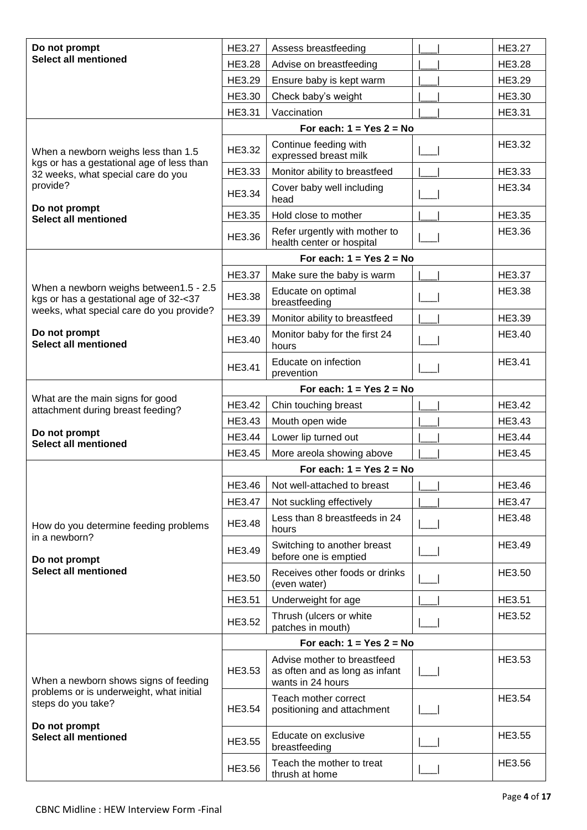| Do not prompt                                                                    | HE3.27        | Assess breastfeeding                                                               |  | HE3.27        |
|----------------------------------------------------------------------------------|---------------|------------------------------------------------------------------------------------|--|---------------|
| <b>Select all mentioned</b>                                                      | HE3.28        | Advise on breastfeeding                                                            |  | HE3.28        |
|                                                                                  | HE3.29        | Ensure baby is kept warm                                                           |  | HE3.29        |
|                                                                                  | HE3.30        | Check baby's weight                                                                |  | HE3.30        |
|                                                                                  | HE3.31        | Vaccination                                                                        |  | HE3.31        |
|                                                                                  |               | For each: $1 = Yes$ 2 = No                                                         |  |               |
| When a newborn weighs less than 1.5<br>kgs or has a gestational age of less than | HE3.32        | Continue feeding with<br>expressed breast milk                                     |  | HE3.32        |
| 32 weeks, what special care do you                                               | HE3.33        | Monitor ability to breastfeed                                                      |  | HE3.33        |
| provide?                                                                         | HE3.34        | Cover baby well including<br>head                                                  |  | HE3.34        |
| Do not prompt<br><b>Select all mentioned</b>                                     | HE3.35        | Hold close to mother                                                               |  | HE3.35        |
|                                                                                  | HE3.36        | Refer urgently with mother to<br>health center or hospital                         |  | HE3.36        |
|                                                                                  |               | For each: $1 = Yes$ 2 = No                                                         |  |               |
|                                                                                  | HE3.37        | Make sure the baby is warm                                                         |  | HE3.37        |
| When a newborn weighs between1.5 - 2.5<br>kgs or has a gestational age of 32-<37 | <b>HE3.38</b> | Educate on optimal<br>breastfeeding                                                |  | HE3.38        |
| weeks, what special care do you provide?                                         | HE3.39        | Monitor ability to breastfeed                                                      |  | HE3.39        |
| Do not prompt<br><b>Select all mentioned</b>                                     | HE3.40        | Monitor baby for the first 24<br>hours                                             |  | HE3.40        |
|                                                                                  | HE3.41        | Educate on infection<br>prevention                                                 |  | HE3.41        |
|                                                                                  |               | For each: $1 = Yes$ 2 = No                                                         |  |               |
| What are the main signs for good<br>attachment during breast feeding?            | HE3.42        | Chin touching breast                                                               |  | HE3.42        |
|                                                                                  | <b>HE3.43</b> | Mouth open wide                                                                    |  | HE3.43        |
| Do not prompt<br><b>Select all mentioned</b>                                     | HE3.44        | Lower lip turned out                                                               |  | HE3.44        |
|                                                                                  | HE3.45        | More areola showing above                                                          |  | HE3.45        |
|                                                                                  |               |                                                                                    |  |               |
|                                                                                  | HE3.46        | Not well-attached to breast                                                        |  | HE3.46        |
|                                                                                  | HE3.47        | Not suckling effectively                                                           |  | HE3.47        |
| How do you determine feeding problems<br>in a newborn?                           | HE3.48        | Less than 8 breastfeeds in 24<br>hours                                             |  | <b>HE3.48</b> |
| Do not prompt                                                                    | HE3.49        | Switching to another breast<br>before one is emptied                               |  | HE3.49        |
| <b>Select all mentioned</b>                                                      | HE3.50        | Receives other foods or drinks<br>(even water)                                     |  | HE3.50        |
|                                                                                  | HE3.51        | Underweight for age                                                                |  | HE3.51        |
|                                                                                  | HE3.52        | Thrush (ulcers or white<br>patches in mouth)                                       |  | HE3.52        |
|                                                                                  |               | For each: $1 = Yes$ 2 = No                                                         |  |               |
| When a newborn shows signs of feeding                                            | HE3.53        | Advise mother to breastfeed<br>as often and as long as infant<br>wants in 24 hours |  | HE3.53        |
| problems or is underweight, what initial<br>steps do you take?                   | HE3.54        | Teach mother correct<br>positioning and attachment                                 |  | HE3.54        |
| Do not prompt<br><b>Select all mentioned</b>                                     | HE3.55        | Educate on exclusive<br>breastfeeding                                              |  | HE3.55        |
|                                                                                  | HE3.56        | Teach the mother to treat<br>thrush at home                                        |  | HE3.56        |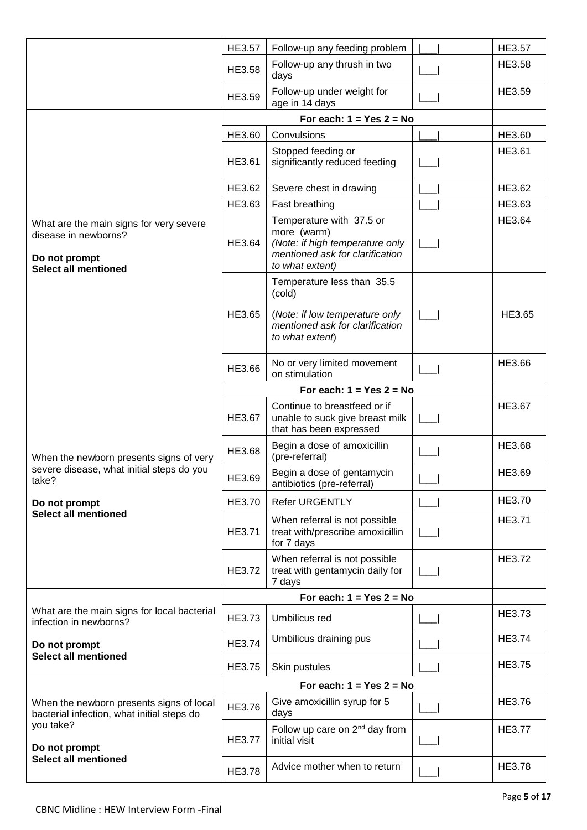|                                                                                                                 | HE3.57        | Follow-up any feeding problem                                                                                                    | HE3.57        |
|-----------------------------------------------------------------------------------------------------------------|---------------|----------------------------------------------------------------------------------------------------------------------------------|---------------|
|                                                                                                                 | HE3.58        | Follow-up any thrush in two<br>days                                                                                              | HE3.58        |
|                                                                                                                 | HE3.59        | Follow-up under weight for<br>age in 14 days                                                                                     | HE3.59        |
|                                                                                                                 |               | For each: $1 = Yes$ 2 = No                                                                                                       |               |
|                                                                                                                 | HE3.60        | Convulsions                                                                                                                      | HE3.60        |
|                                                                                                                 | HE3.61        | Stopped feeding or<br>significantly reduced feeding                                                                              | HE3.61        |
|                                                                                                                 | HE3.62        | Severe chest in drawing                                                                                                          | HE3.62        |
|                                                                                                                 | HE3.63        | Fast breathing                                                                                                                   | HE3.63        |
| What are the main signs for very severe<br>disease in newborns?<br>Do not prompt<br><b>Select all mentioned</b> | HE3.64        | Temperature with 37.5 or<br>more (warm)<br>(Note: if high temperature only<br>mentioned ask for clarification<br>to what extent) | HE3.64        |
|                                                                                                                 |               | Temperature less than 35.5<br>(cold)                                                                                             |               |
|                                                                                                                 | HE3.65        | (Note: if low temperature only<br>mentioned ask for clarification<br>to what extent)                                             | HE3.65        |
|                                                                                                                 | HE3.66        | No or very limited movement<br>on stimulation                                                                                    | HE3.66        |
|                                                                                                                 |               | For each: $1 = Yes$ 2 = No                                                                                                       |               |
|                                                                                                                 | HE3.67        | Continue to breastfeed or if<br>unable to suck give breast milk<br>that has been expressed                                       | <b>HE3.67</b> |
| When the newborn presents signs of very                                                                         | HE3.68        | Begin a dose of amoxicillin<br>(pre-referral)                                                                                    | HE3.68        |
| severe disease, what initial steps do you<br>take?                                                              |               | Begin a dose of gentamycin                                                                                                       | HE3.69        |
|                                                                                                                 | HE3.69        | antibiotics (pre-referral)                                                                                                       |               |
| Do not prompt                                                                                                   | HE3.70        | Refer URGENTLY                                                                                                                   | HE3.70        |
| Select all mentioned                                                                                            | HE3.71        | When referral is not possible<br>treat with/prescribe amoxicillin<br>for 7 days                                                  | HE3.71        |
|                                                                                                                 | <b>HE3.72</b> | When referral is not possible<br>treat with gentamycin daily for<br>7 days                                                       | HE3.72        |
|                                                                                                                 |               | For each: $1 = Yes$ 2 = No                                                                                                       |               |
| What are the main signs for local bacterial<br>infection in newborns?                                           | HE3.73        | Umbilicus red                                                                                                                    | HE3.73        |
| Do not prompt                                                                                                   | HE3.74        | Umbilicus draining pus                                                                                                           | HE3.74        |
| <b>Select all mentioned</b>                                                                                     | HE3.75        | Skin pustules                                                                                                                    | HE3.75        |
|                                                                                                                 |               | For each: $1 = Yes$ 2 = No                                                                                                       |               |
| When the newborn presents signs of local<br>bacterial infection, what initial steps do                          | HE3.76        | Give amoxicillin syrup for 5<br>days                                                                                             | HE3.76        |
| you take?<br>Do not prompt<br><b>Select all mentioned</b>                                                       | HE3.77        | Follow up care on 2 <sup>nd</sup> day from<br>initial visit                                                                      | HE3.77        |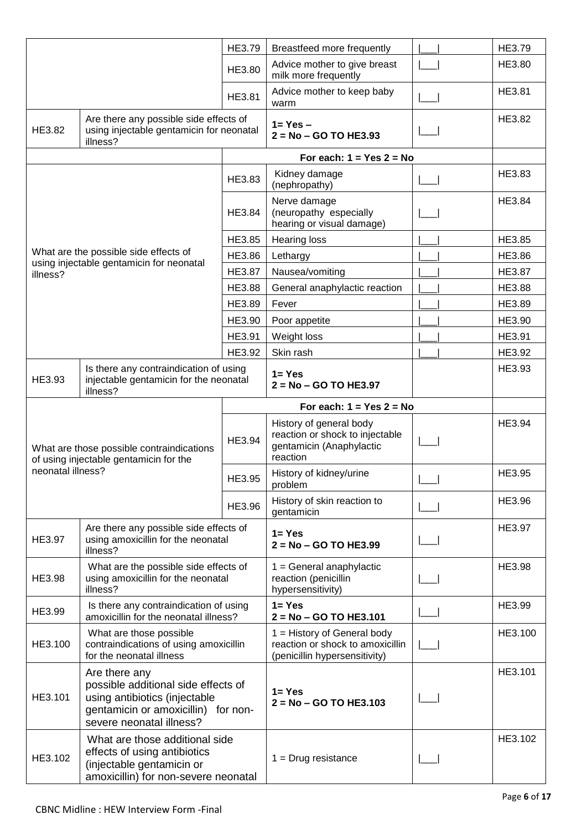|                   |                                                                                                                                                          | HE3.79        | Breastfeed more frequently                                                                         | HE3.79        |
|-------------------|----------------------------------------------------------------------------------------------------------------------------------------------------------|---------------|----------------------------------------------------------------------------------------------------|---------------|
|                   |                                                                                                                                                          | HE3.80        | Advice mother to give breast<br>milk more frequently                                               | HE3.80        |
|                   |                                                                                                                                                          | HE3.81        | Advice mother to keep baby<br>warm                                                                 | HE3.81        |
| HE3.82            | Are there any possible side effects of<br>using injectable gentamicin for neonatal<br>illness?                                                           |               | $1 = Yes -$<br>$2 = No - GO TO HE3.93$                                                             | HE3.82        |
|                   |                                                                                                                                                          |               | For each: $1 = Yes$ 2 = No                                                                         |               |
|                   |                                                                                                                                                          | HE3.83        | Kidney damage<br>(nephropathy)                                                                     | HE3.83        |
|                   |                                                                                                                                                          | <b>HE3.84</b> | Nerve damage<br>(neuropathy especially<br>hearing or visual damage)                                | HE3.84        |
|                   |                                                                                                                                                          | HE3.85        | <b>Hearing loss</b>                                                                                | HE3.85        |
|                   | What are the possible side effects of<br>using injectable gentamicin for neonatal                                                                        | HE3.86        | Lethargy                                                                                           | HE3.86        |
| illness?          |                                                                                                                                                          | <b>HE3.87</b> | Nausea/vomiting                                                                                    | <b>HE3.87</b> |
|                   |                                                                                                                                                          | HE3.88        | General anaphylactic reaction                                                                      | HE3.88        |
|                   |                                                                                                                                                          | HE3.89        | Fever                                                                                              | HE3.89        |
|                   |                                                                                                                                                          | HE3.90        | Poor appetite                                                                                      | HE3.90        |
|                   |                                                                                                                                                          | HE3.91        | Weight loss                                                                                        | HE3.91        |
|                   |                                                                                                                                                          | HE3.92        | Skin rash                                                                                          | HE3.92        |
| HE3.93            | Is there any contraindication of using<br>injectable gentamicin for the neonatal<br>illness?                                                             |               | $1 = Yes$<br>$2 = No - GO TO HE3.97$                                                               | HE3.93        |
|                   |                                                                                                                                                          |               | For each: $1 = Yes$ 2 = No                                                                         |               |
|                   | What are those possible contraindications<br>of using injectable gentamicin for the                                                                      | HE3.94        | History of general body<br>reaction or shock to injectable<br>gentamicin (Anaphylactic<br>reaction | HE3.94        |
| neonatal illness? |                                                                                                                                                          | HE3.95        | History of kidney/urine<br>problem                                                                 | HE3.95        |
|                   |                                                                                                                                                          | HE3.96        | History of skin reaction to<br>gentamicin                                                          | HE3.96        |
| HE3.97            | Are there any possible side effects of<br>using amoxicillin for the neonatal<br>illness?                                                                 |               | $1 = Yes$<br>$2 = No - GO TO HE3.99$                                                               | HE3.97        |
| HE3.98            | What are the possible side effects of<br>using amoxicillin for the neonatal<br>illness?                                                                  |               | $1 =$ General anaphylactic<br>reaction (penicillin<br>hypersensitivity)                            | HE3.98        |
| HE3.99            | Is there any contraindication of using<br>amoxicillin for the neonatal illness?                                                                          |               | $1 = Yes$<br>2 = No - GO TO HE3.101                                                                | HE3.99        |
| HE3.100           | What are those possible<br>contraindications of using amoxicillin<br>for the neonatal illness                                                            |               | $1 =$ History of General body<br>reaction or shock to amoxicillin<br>(penicillin hypersensitivity) | HE3.100       |
| HE3.101           | Are there any<br>possible additional side effects of<br>using antibiotics (injectable<br>gentamicin or amoxicillin) for non-<br>severe neonatal illness? |               | $1 = Yes$<br>$2 = No - GO TO HE3.103$                                                              | HE3.101       |
| HE3.102           | What are those additional side<br>effects of using antibiotics<br>(injectable gentamicin or<br>amoxicillin) for non-severe neonatal                      |               | $1 = Drug resistance$                                                                              | HE3.102       |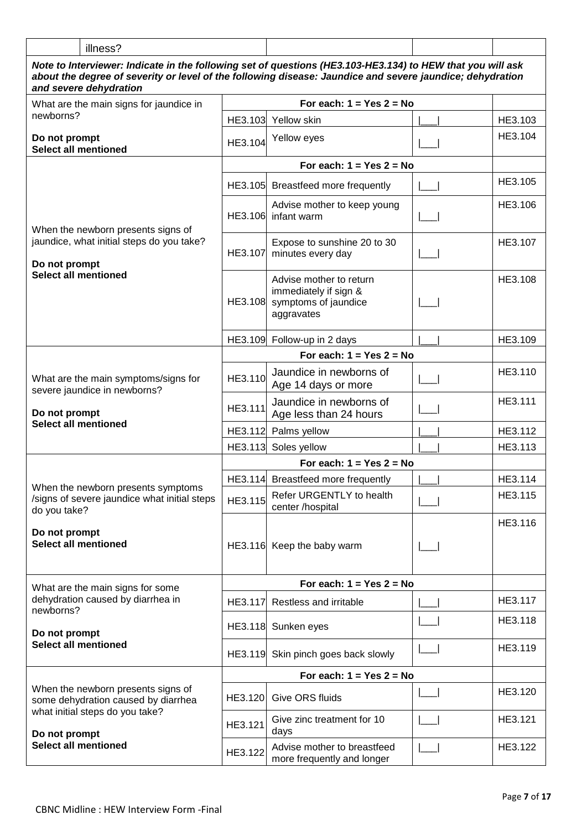| illness?                                                                                                                                                                                                                                          |                            |                                                                                                |  |         |  |  |
|---------------------------------------------------------------------------------------------------------------------------------------------------------------------------------------------------------------------------------------------------|----------------------------|------------------------------------------------------------------------------------------------|--|---------|--|--|
| Note to Interviewer: Indicate in the following set of questions (HE3.103-HE3.134) to HEW that you will ask<br>about the degree of severity or level of the following disease: Jaundice and severe jaundice; dehydration<br>and severe dehydration |                            |                                                                                                |  |         |  |  |
| What are the main signs for jaundice in                                                                                                                                                                                                           |                            | For each: $1 = Yes$ 2 = No                                                                     |  |         |  |  |
| newborns?                                                                                                                                                                                                                                         |                            | HE3.103 Yellow skin                                                                            |  | HE3.103 |  |  |
| Do not prompt<br><b>Select all mentioned</b>                                                                                                                                                                                                      | HE3.104                    | Yellow eyes                                                                                    |  | HE3.104 |  |  |
|                                                                                                                                                                                                                                                   |                            | For each: $1 = Yes$ 2 = No                                                                     |  |         |  |  |
|                                                                                                                                                                                                                                                   |                            | HE3.105 Breastfeed more frequently                                                             |  | HE3.105 |  |  |
| When the newborn presents signs of                                                                                                                                                                                                                |                            | Advise mother to keep young<br>HE3.106 infant warm                                             |  | HE3.106 |  |  |
| jaundice, what initial steps do you take?<br>Do not prompt                                                                                                                                                                                        | HE3.107                    | Expose to sunshine 20 to 30<br>minutes every day                                               |  | HE3.107 |  |  |
| <b>Select all mentioned</b>                                                                                                                                                                                                                       |                            | Advise mother to return<br>immediately if sign &<br>HE3.108 symptoms of jaundice<br>aggravates |  | HE3.108 |  |  |
|                                                                                                                                                                                                                                                   |                            | HE3.109 Follow-up in 2 days                                                                    |  | HE3.109 |  |  |
|                                                                                                                                                                                                                                                   |                            |                                                                                                |  |         |  |  |
| What are the main symptoms/signs for<br>severe jaundice in newborns?                                                                                                                                                                              | HE3.110                    | Jaundice in newborns of<br>Age 14 days or more                                                 |  | HE3.110 |  |  |
| Do not prompt                                                                                                                                                                                                                                     | HE3.111                    | Jaundice in newborns of<br>Age less than 24 hours                                              |  | HE3.111 |  |  |
| <b>Select all mentioned</b>                                                                                                                                                                                                                       |                            | HE3.112 Palms yellow                                                                           |  | HE3.112 |  |  |
|                                                                                                                                                                                                                                                   | HE3.113                    | Soles yellow                                                                                   |  | HE3.113 |  |  |
|                                                                                                                                                                                                                                                   | For each: $1 = Yes$ 2 = No |                                                                                                |  |         |  |  |
| When the newborn presents symptoms                                                                                                                                                                                                                |                            | HE3.114 Breastfeed more frequently                                                             |  | HE3.114 |  |  |
| /signs of severe jaundice what initial steps<br>do you take?                                                                                                                                                                                      | HE3.115                    | Refer URGENTLY to health<br>center /hospital                                                   |  | HE3.115 |  |  |
| Do not prompt<br>Select all mentioned                                                                                                                                                                                                             |                            | HE3.116 Keep the baby warm                                                                     |  | HE3.116 |  |  |
| What are the main signs for some                                                                                                                                                                                                                  |                            | For each: $1 = Yes$ 2 = No                                                                     |  |         |  |  |
| dehydration caused by diarrhea in<br>newborns?                                                                                                                                                                                                    | HE3.117                    | Restless and irritable                                                                         |  | HE3.117 |  |  |
| Do not prompt                                                                                                                                                                                                                                     |                            | HE3.118 Sunken eyes                                                                            |  | HE3.118 |  |  |
| <b>Select all mentioned</b>                                                                                                                                                                                                                       | HE3.119                    | Skin pinch goes back slowly                                                                    |  | HE3.119 |  |  |
|                                                                                                                                                                                                                                                   |                            | For each: $1 = Yes$ 2 = No                                                                     |  |         |  |  |
| When the newborn presents signs of<br>some dehydration caused by diarrhea                                                                                                                                                                         | HE3.120                    | <b>Give ORS fluids</b>                                                                         |  | HE3.120 |  |  |
| what initial steps do you take?<br>Do not prompt                                                                                                                                                                                                  | HE3.121                    | Give zinc treatment for 10<br>days                                                             |  | HE3.121 |  |  |
| <b>Select all mentioned</b>                                                                                                                                                                                                                       | HE3.122                    | Advise mother to breastfeed<br>more frequently and longer                                      |  | HE3.122 |  |  |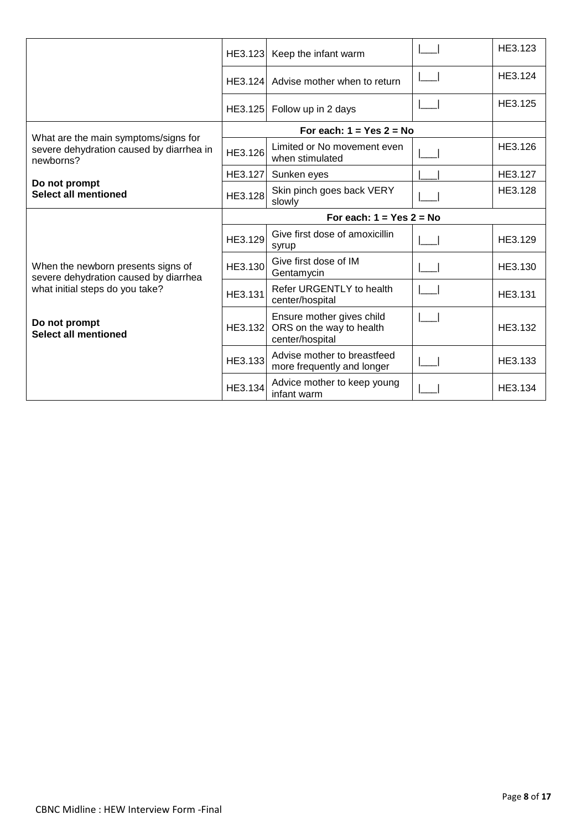|                                                                                               | HE3.123 | Keep the infant warm                                                     | HE3.123 |
|-----------------------------------------------------------------------------------------------|---------|--------------------------------------------------------------------------|---------|
|                                                                                               |         | HE3.124 Advise mother when to return                                     | HE3.124 |
|                                                                                               | HE3.125 | Follow up in 2 days                                                      | HE3.125 |
|                                                                                               |         | For each: $1 = Yes$ 2 = No                                               |         |
| What are the main symptoms/signs for<br>severe dehydration caused by diarrhea in<br>newborns? | HE3.126 | Limited or No movement even<br>when stimulated                           | HE3.126 |
|                                                                                               | HE3.127 | Sunken eyes                                                              | HE3.127 |
| Do not prompt<br><b>Select all mentioned</b>                                                  | HE3.128 | Skin pinch goes back VERY<br>slowly                                      | HE3.128 |
|                                                                                               |         | For each: $1 = Yes$ 2 = No                                               |         |
|                                                                                               | HE3.129 | Give first dose of amoxicillin<br>syrup                                  | HE3.129 |
| When the newborn presents signs of<br>severe dehydration caused by diarrhea                   | HE3.130 | Give first dose of IM<br>Gentamycin                                      | HE3.130 |
| what initial steps do you take?                                                               | HE3.131 | Refer URGENTLY to health<br>center/hospital                              | HE3.131 |
| Do not prompt<br><b>Select all mentioned</b>                                                  | HE3.132 | Ensure mother gives child<br>ORS on the way to health<br>center/hospital | HE3.132 |
|                                                                                               | HE3.133 | Advise mother to breastfeed<br>more frequently and longer                | HE3.133 |
|                                                                                               | HE3.134 | Advice mother to keep young<br>infant warm                               | HE3.134 |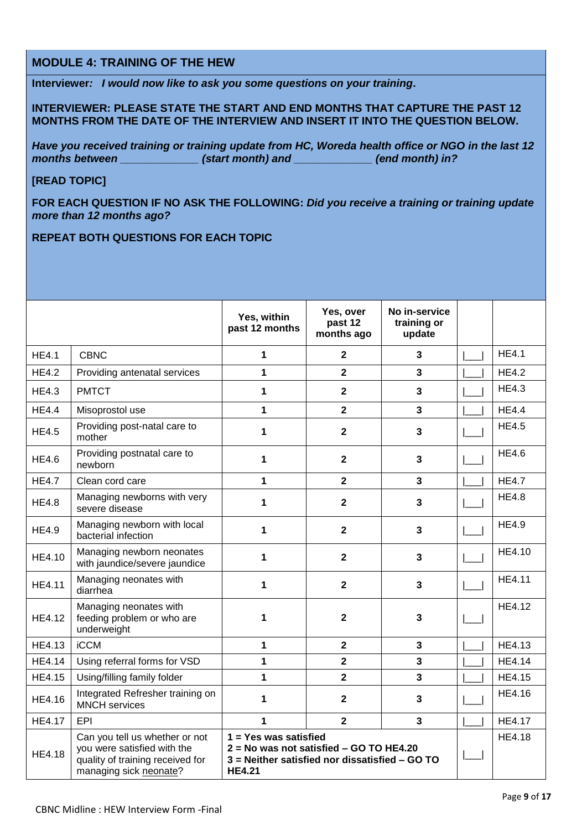## **MODULE 4: TRAINING OF THE HEW**

**Interviewer***: I would now like to ask you some questions on your training***.**

#### **INTERVIEWER: PLEASE STATE THE START AND END MONTHS THAT CAPTURE THE PAST 12 MONTHS FROM THE DATE OF THE INTERVIEW AND INSERT IT INTO THE QUESTION BELOW.**

*Have you received training or training update from HC, Woreda health office or NGO in the last 12 months between \_\_\_\_\_\_\_\_\_\_\_\_\_ (start month) and \_\_\_\_\_\_\_\_\_\_\_\_\_ (end month) in?*

**[READ TOPIC]** 

**FOR EACH QUESTION IF NO ASK THE FOLLOWING:** *Did you receive a training or training update more than 12 months ago?*

**REPEAT BOTH QUESTIONS FOR EACH TOPIC**

|               |                                                                                                                             | Yes, within<br>past 12 months                                                                                                         | Yes, over<br>past 12<br>months ago | No in-service<br>training or<br>update |               |
|---------------|-----------------------------------------------------------------------------------------------------------------------------|---------------------------------------------------------------------------------------------------------------------------------------|------------------------------------|----------------------------------------|---------------|
| <b>HE4.1</b>  | <b>CBNC</b>                                                                                                                 | 1                                                                                                                                     | $\overline{\mathbf{2}}$            | 3                                      | <b>HE4.1</b>  |
| <b>HE4.2</b>  | Providing antenatal services                                                                                                | 1                                                                                                                                     | $\overline{2}$                     | $\overline{\mathbf{3}}$                | <b>HE4.2</b>  |
| <b>HE4.3</b>  | <b>PMTCT</b>                                                                                                                | 1                                                                                                                                     | $\overline{\mathbf{2}}$            | $\mathbf{3}$                           | <b>HE4.3</b>  |
| <b>HE4.4</b>  | Misoprostol use                                                                                                             | $\mathbf{1}$                                                                                                                          | $\overline{\mathbf{2}}$            | $\overline{\mathbf{3}}$                | <b>HE4.4</b>  |
| <b>HE4.5</b>  | Providing post-natal care to<br>mother                                                                                      | 1                                                                                                                                     | $\overline{\mathbf{2}}$            | 3                                      | <b>HE4.5</b>  |
| <b>HE4.6</b>  | Providing postnatal care to<br>newborn                                                                                      | 1                                                                                                                                     | $\mathbf{2}$                       | 3                                      | <b>HE4.6</b>  |
| <b>HE4.7</b>  | Clean cord care                                                                                                             | $\overline{1}$                                                                                                                        | $\overline{2}$                     | $\overline{\mathbf{3}}$                | <b>HE4.7</b>  |
| <b>HE4.8</b>  | Managing newborns with very<br>severe disease                                                                               | 1                                                                                                                                     | $\mathbf{2}$                       | $\mathbf{3}$                           | <b>HE4.8</b>  |
| <b>HE4.9</b>  | Managing newborn with local<br>bacterial infection                                                                          | 1                                                                                                                                     | $\mathbf{2}$                       | 3                                      | <b>HE4.9</b>  |
| HE4.10        | Managing newborn neonates<br>with jaundice/severe jaundice                                                                  | 1                                                                                                                                     | $\mathbf{2}$                       | 3                                      | HE4.10        |
| <b>HE4.11</b> | Managing neonates with<br>diarrhea                                                                                          | 1                                                                                                                                     | $\overline{2}$                     | 3                                      | <b>HE4.11</b> |
| <b>HE4.12</b> | Managing neonates with<br>feeding problem or who are<br>underweight                                                         | 1                                                                                                                                     | $\mathbf 2$                        | $\mathbf{3}$                           | <b>HE4.12</b> |
| <b>HE4.13</b> | <b>iCCM</b>                                                                                                                 | 1                                                                                                                                     | $\overline{2}$                     | $\mathbf{3}$                           | <b>HE4.13</b> |
| <b>HE4.14</b> | Using referral forms for VSD                                                                                                | 1                                                                                                                                     | $\overline{\mathbf{2}}$            | 3                                      | <b>HE4.14</b> |
| <b>HE4.15</b> | Using/filling family folder                                                                                                 | 1                                                                                                                                     | $\overline{\mathbf{2}}$            | 3                                      | <b>HE4.15</b> |
| <b>HE4.16</b> | Integrated Refresher training on<br><b>MNCH</b> services                                                                    | 1                                                                                                                                     | $\overline{\mathbf{2}}$            | 3                                      | <b>HE4.16</b> |
| <b>HE4.17</b> | <b>EPI</b>                                                                                                                  | 1                                                                                                                                     | $\overline{2}$                     | $\overline{\mathbf{3}}$                | <b>HE4.17</b> |
| <b>HE4.18</b> | Can you tell us whether or not<br>you were satisfied with the<br>quality of training received for<br>managing sick neonate? | $1 = Yes$ was satisfied<br>2 = No was not satisfied - GO TO HE4.20<br>3 = Neither satisfied nor dissatisfied - GO TO<br><b>HE4.21</b> | <b>HE4.18</b>                      |                                        |               |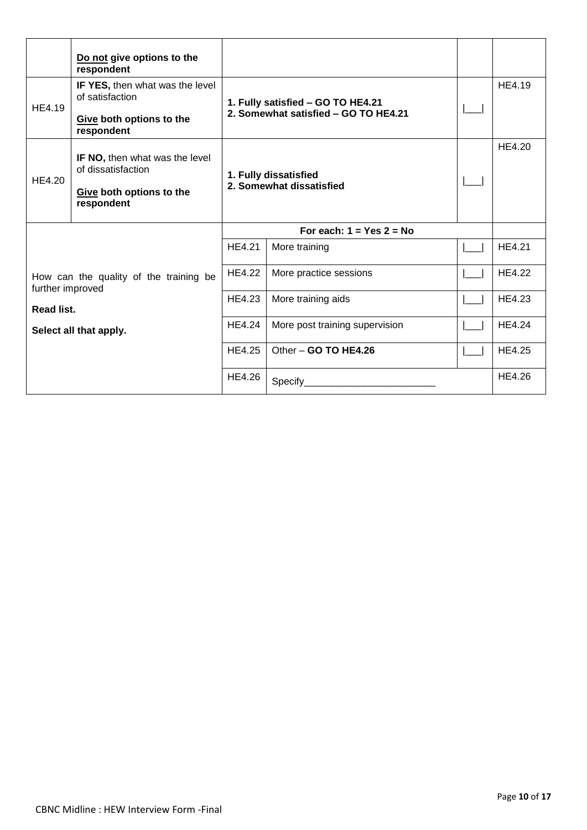|                        | Do not give options to the<br>respondent                                                                     |                                                                           |                                |  |               |
|------------------------|--------------------------------------------------------------------------------------------------------------|---------------------------------------------------------------------------|--------------------------------|--|---------------|
| HE4.19                 | IF YES, then what was the level<br>of satisfaction<br><b>Give both options to the</b><br>respondent          | 1. Fully satisfied - GO TO HE4.21<br>2. Somewhat satisfied - GO TO HE4.21 |                                |  | HE4.19        |
| HE4.20                 | <b>IF NO, then what was the level</b><br>of dissatisfaction<br><b>Give both options to the</b><br>respondent | 1. Fully dissatisfied<br>2. Somewhat dissatisfied                         |                                |  | HE4.20        |
|                        |                                                                                                              | For each: $1 = Yes$ 2 = No                                                |                                |  |               |
|                        |                                                                                                              | HE4.21                                                                    | More training                  |  | <b>HE4.21</b> |
|                        | How can the quality of the training be                                                                       | HE4.22                                                                    | More practice sessions         |  | <b>HE4.22</b> |
|                        | further improved<br>Read list.                                                                               |                                                                           | More training aids             |  | HE4.23        |
| Select all that apply. |                                                                                                              | <b>HE4.24</b>                                                             | More post training supervision |  | <b>HE4.24</b> |
|                        |                                                                                                              | HE4.25                                                                    | Other - GO TO HE4.26           |  | <b>HE4.25</b> |
|                        |                                                                                                              | HE4.26                                                                    | Specify                        |  | HE4.26        |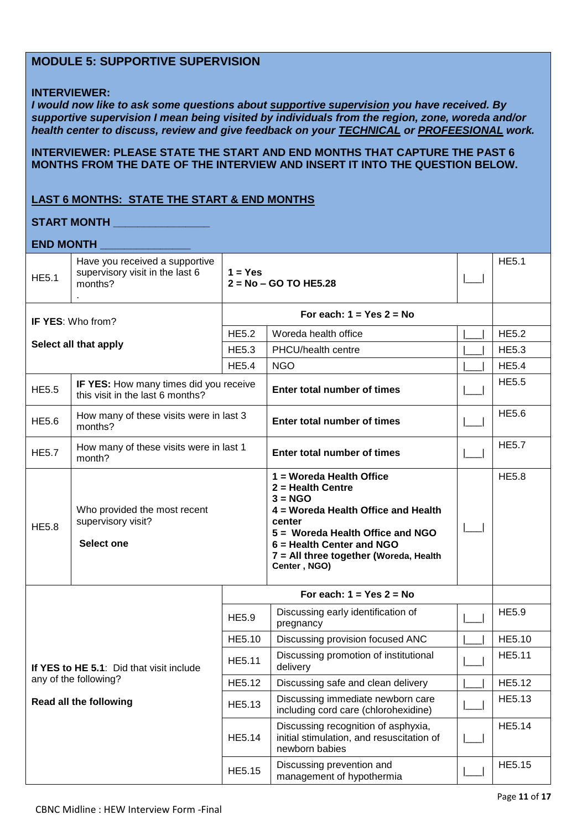## **MODULE 5: SUPPORTIVE SUPERVISION**

### **INTERVIEWER:**

*I would now like to ask some questions about supportive supervision you have received. By supportive supervision I mean being visited by individuals from the region, zone, woreda and/or health center to discuss, review and give feedback on your TECHNICAL or PROFEESIONAL work.*

#### **INTERVIEWER: PLEASE STATE THE START AND END MONTHS THAT CAPTURE THE PAST 6 MONTHS FROM THE DATE OF THE INTERVIEW AND INSERT IT INTO THE QUESTION BELOW.**

## **LAST 6 MONTHS: STATE THE START & END MONTHS**

#### **START MONTH \_\_\_\_\_\_\_\_\_\_\_\_\_\_\_\_**

#### **END MONTH \_\_\_\_\_\_\_\_\_\_\_\_\_\_\_**

| <b>HE5.1</b>           | Have you received a supportive<br>supervisory visit in the last 6<br>months? | $1 = Yes$<br>$2 = No - GO TO HE5.28$ |                                                                                                                                                                                                                                          |  | <b>HE5.1</b>  |
|------------------------|------------------------------------------------------------------------------|--------------------------------------|------------------------------------------------------------------------------------------------------------------------------------------------------------------------------------------------------------------------------------------|--|---------------|
|                        | <b>IF YES: Who from?</b>                                                     |                                      | For each: $1 = Yes$ 2 = No                                                                                                                                                                                                               |  |               |
|                        |                                                                              | <b>HE5.2</b>                         | Woreda health office                                                                                                                                                                                                                     |  | <b>HE5.2</b>  |
|                        | Select all that apply                                                        | <b>HE5.3</b>                         | PHCU/health centre                                                                                                                                                                                                                       |  | <b>HE5.3</b>  |
|                        |                                                                              | <b>HE5.4</b>                         | <b>NGO</b>                                                                                                                                                                                                                               |  | <b>HE5.4</b>  |
| <b>HE5.5</b>           | IF YES: How many times did you receive<br>this visit in the last 6 months?   |                                      | Enter total number of times                                                                                                                                                                                                              |  | <b>HE5.5</b>  |
| <b>HE5.6</b>           | How many of these visits were in last 3<br>months?                           |                                      | <b>Enter total number of times</b>                                                                                                                                                                                                       |  | <b>HE5.6</b>  |
| <b>HE5.7</b>           | How many of these visits were in last 1<br>month?                            |                                      | <b>Enter total number of times</b>                                                                                                                                                                                                       |  | <b>HE5.7</b>  |
| <b>HE5.8</b>           | Who provided the most recent<br>supervisory visit?<br><b>Select one</b>      |                                      | 1 = Woreda Health Office<br>$2 =$ Health Centre<br>$3 = NGO$<br>4 = Woreda Health Office and Health<br>center<br>5 = Woreda Health Office and NGO<br>6 = Health Center and NGO<br>7 = All three together (Woreda, Health<br>Center, NGO) |  | <b>HE5.8</b>  |
|                        |                                                                              |                                      | For each: $1 = Yes$ 2 = No                                                                                                                                                                                                               |  |               |
|                        |                                                                              | <b>HE5.9</b>                         | Discussing early identification of<br>pregnancy                                                                                                                                                                                          |  | <b>HE5.9</b>  |
|                        |                                                                              | <b>HE5.10</b>                        | Discussing provision focused ANC                                                                                                                                                                                                         |  | <b>HE5.10</b> |
|                        | If YES to HE 5.1: Did that visit include                                     | <b>HE5.11</b>                        | Discussing promotion of institutional<br>delivery                                                                                                                                                                                        |  | <b>HE5.11</b> |
|                        | any of the following?                                                        | <b>HE5.12</b>                        | Discussing safe and clean delivery                                                                                                                                                                                                       |  | <b>HE5.12</b> |
| Read all the following |                                                                              | HE5.13                               | Discussing immediate newborn care<br>including cord care (chlorohexidine)                                                                                                                                                                |  | HE5.13        |
|                        |                                                                              | <b>HE5.14</b>                        | Discussing recognition of asphyxia,<br>initial stimulation, and resuscitation of<br>newborn babies                                                                                                                                       |  | HE5.14        |
|                        |                                                                              | HE5.15                               | Discussing prevention and<br>management of hypothermia                                                                                                                                                                                   |  | HE5.15        |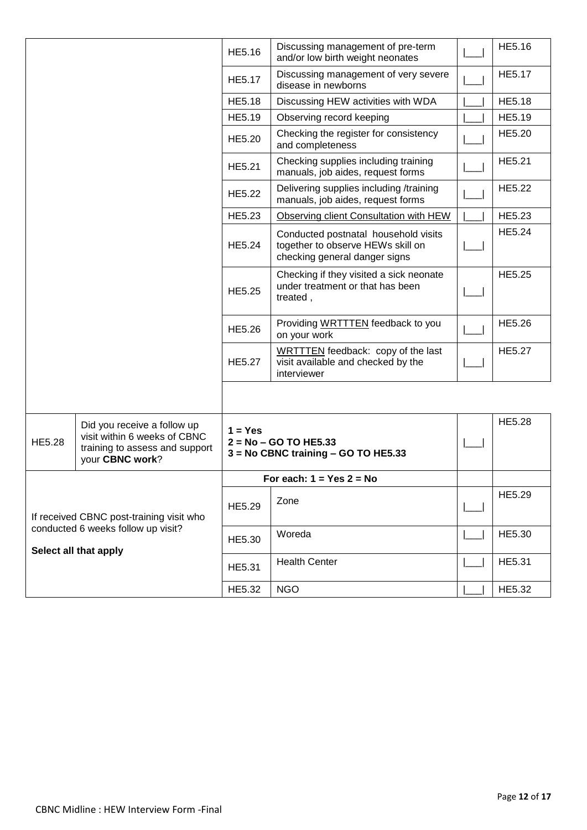|                                                                                                         |                                                                                                                  | <b>HE5.16</b>                                                               | Discussing management of pre-term<br>and/or low birth weight neonates                                      | HE5.16        |
|---------------------------------------------------------------------------------------------------------|------------------------------------------------------------------------------------------------------------------|-----------------------------------------------------------------------------|------------------------------------------------------------------------------------------------------------|---------------|
|                                                                                                         |                                                                                                                  | HE5.17                                                                      | Discussing management of very severe<br>disease in newborns                                                | <b>HE5.17</b> |
|                                                                                                         |                                                                                                                  | <b>HE5.18</b>                                                               | Discussing HEW activities with WDA                                                                         | <b>HE5.18</b> |
|                                                                                                         |                                                                                                                  | HE5.19                                                                      | Observing record keeping                                                                                   | HE5.19        |
|                                                                                                         |                                                                                                                  | <b>HE5.20</b>                                                               | Checking the register for consistency<br>and completeness                                                  | <b>HE5.20</b> |
|                                                                                                         |                                                                                                                  | HE5.21                                                                      | Checking supplies including training<br>manuals, job aides, request forms                                  | HE5.21        |
|                                                                                                         |                                                                                                                  | HE5.22                                                                      | Delivering supplies including /training<br>manuals, job aides, request forms                               | <b>HE5.22</b> |
|                                                                                                         |                                                                                                                  | HE5.23                                                                      | Observing client Consultation with HEW                                                                     | HE5.23        |
|                                                                                                         |                                                                                                                  | <b>HE5.24</b>                                                               | Conducted postnatal household visits<br>together to observe HEWs skill on<br>checking general danger signs | HE5.24        |
|                                                                                                         |                                                                                                                  | <b>HE5.25</b>                                                               | Checking if they visited a sick neonate<br>under treatment or that has been<br>treated,                    | HE5.25        |
|                                                                                                         |                                                                                                                  | HE5.26                                                                      | Providing WRTTTEN feedback to you<br>on your work                                                          | HE5.26        |
|                                                                                                         |                                                                                                                  | <b>HE5.27</b>                                                               | WRTTTEN feedback: copy of the last<br>visit available and checked by the<br>interviewer                    | <b>HE5.27</b> |
|                                                                                                         |                                                                                                                  |                                                                             |                                                                                                            |               |
| <b>HE5.28</b>                                                                                           | Did you receive a follow up<br>visit within 6 weeks of CBNC<br>training to assess and support<br>your CBNC work? | $1 = Yes$<br>$2 = No - GO TO HE5.33$<br>3 = No CBNC training - GO TO HE5.33 |                                                                                                            | HE5.28        |
|                                                                                                         |                                                                                                                  |                                                                             | For each: $1 = Yes$ 2 = No                                                                                 |               |
| If received CBNC post-training visit who<br>conducted 6 weeks follow up visit?<br>Select all that apply |                                                                                                                  | HE5.29                                                                      | Zone                                                                                                       | HE5.29        |
|                                                                                                         |                                                                                                                  | HE5.30                                                                      | Woreda                                                                                                     | HE5.30        |
|                                                                                                         |                                                                                                                  | HE5.31                                                                      | <b>Health Center</b>                                                                                       | HE5.31        |
|                                                                                                         |                                                                                                                  | HE5.32                                                                      | <b>NGO</b>                                                                                                 | HE5.32        |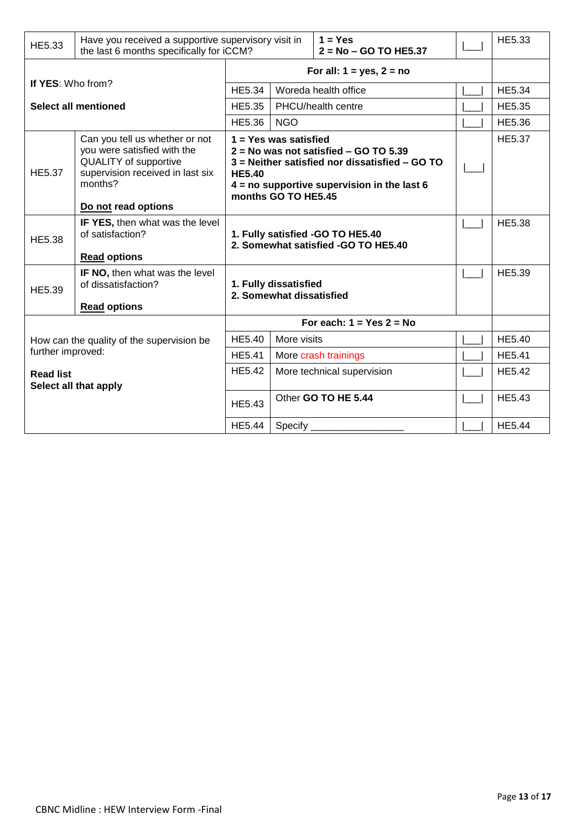| HE5.33                                                                                                                                                                        | $1 = Yes$<br>Have you received a supportive supervisory visit in<br>the last 6 months specifically for iCCM?<br>$2 = No - GO TO HE5.37$ |                                                                                                                                                                                                                 |                                       |                            | HE5.33        |               |
|-------------------------------------------------------------------------------------------------------------------------------------------------------------------------------|-----------------------------------------------------------------------------------------------------------------------------------------|-----------------------------------------------------------------------------------------------------------------------------------------------------------------------------------------------------------------|---------------------------------------|----------------------------|---------------|---------------|
|                                                                                                                                                                               |                                                                                                                                         | For all: $1 = yes$ , $2 = no$                                                                                                                                                                                   |                                       |                            |               |               |
|                                                                                                                                                                               | If YES: Who from?                                                                                                                       |                                                                                                                                                                                                                 | Woreda health office<br><b>HE5.34</b> |                            |               | HE5.34        |
|                                                                                                                                                                               | Select all mentioned                                                                                                                    | <b>HE5.35</b>                                                                                                                                                                                                   | PHCU/health centre                    |                            |               | <b>HE5.35</b> |
|                                                                                                                                                                               |                                                                                                                                         | <b>HE5.36</b>                                                                                                                                                                                                   | <b>NGO</b>                            |                            |               | <b>HE5.36</b> |
| Can you tell us whether or not<br>you were satisfied with the<br><b>QUALITY</b> of supportive<br>supervision received in last six<br>HE5.37<br>months?<br>Do not read options |                                                                                                                                         | $1 = Yes$ was satisfied<br>$2 = No$ was not satisfied $- GO$ TO 5.39<br>3 = Neither satisfied nor dissatisfied - GO TO<br><b>HE5.40</b><br>$4 = no$ supportive supervision in the last 6<br>months GO TO HE5.45 |                                       |                            | <b>HE5.37</b> |               |
| <b>HE5.38</b>                                                                                                                                                                 | IF YES, then what was the level<br>of satisfaction?<br><b>Read options</b>                                                              | 1. Fully satisfied -GO TO HE5.40<br>2. Somewhat satisfied -GO TO HE5.40                                                                                                                                         |                                       |                            | <b>HE5.38</b> |               |
| HE5.39                                                                                                                                                                        | IF NO, then what was the level<br>of dissatisfaction?<br><b>Read options</b>                                                            | 1. Fully dissatisfied<br>2. Somewhat dissatisfied                                                                                                                                                               |                                       |                            | HE5.39        |               |
| How can the quality of the supervision be<br>further improved:                                                                                                                |                                                                                                                                         | For each: $1 = Yes$ 2 = No                                                                                                                                                                                      |                                       |                            |               |               |
|                                                                                                                                                                               |                                                                                                                                         | <b>HE5.40</b>                                                                                                                                                                                                   | More visits                           |                            |               | <b>HE5.40</b> |
|                                                                                                                                                                               |                                                                                                                                         | HE5.41                                                                                                                                                                                                          |                                       | More crash trainings       |               | HE5.41        |
| <b>Read list</b><br>Select all that apply                                                                                                                                     |                                                                                                                                         | <b>HE5.42</b>                                                                                                                                                                                                   |                                       | More technical supervision |               | <b>HE5.42</b> |
|                                                                                                                                                                               |                                                                                                                                         | <b>HE5.43</b>                                                                                                                                                                                                   |                                       | Other GO TO HE 5.44        |               | <b>HE5.43</b> |
|                                                                                                                                                                               |                                                                                                                                         | HE5.44                                                                                                                                                                                                          | Specify                               |                            |               | <b>HE5.44</b> |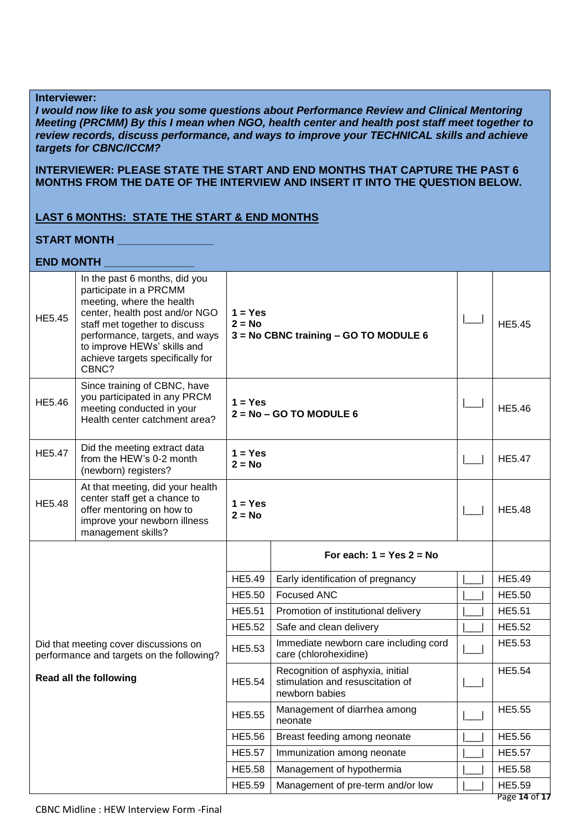#### **Interviewer:**

*I would now like to ask you some questions about Performance Review and Clinical Mentoring Meeting (PRCMM) By this I mean when NGO, health center and health post staff meet together to review records, discuss performance, and ways to improve your TECHNICAL skills and achieve targets for CBNC/ICCM?*

#### **INTERVIEWER: PLEASE STATE THE START AND END MONTHS THAT CAPTURE THE PAST 6 MONTHS FROM THE DATE OF THE INTERVIEW AND INSERT IT INTO THE QUESTION BELOW.**

#### **LAST 6 MONTHS: STATE THE START & END MONTHS**

#### **START MONTH**

#### **END MONTH \_\_\_\_\_\_\_\_\_\_\_\_\_\_\_**

| <b>HE5.45</b>                                                                                                       | In the past 6 months, did you<br>participate in a PRCMM<br>meeting, where the health<br>center, health post and/or NGO<br>staff met together to discuss<br>performance, targets, and ways<br>to improve HEWs' skills and<br>achieve targets specifically for<br>CBNC? | $1 = Yes$<br>$2 = No$<br>3 = No CBNC training - GO TO MODULE 6 |                                                                                        | <b>HE5.45</b>           |
|---------------------------------------------------------------------------------------------------------------------|-----------------------------------------------------------------------------------------------------------------------------------------------------------------------------------------------------------------------------------------------------------------------|----------------------------------------------------------------|----------------------------------------------------------------------------------------|-------------------------|
| <b>HE5.46</b>                                                                                                       | Since training of CBNC, have<br>you participated in any PRCM<br>meeting conducted in your<br>Health center catchment area?                                                                                                                                            | $1 = Yes$<br>$2 = No - GO TO MODEL 6$                          |                                                                                        | HE5.46                  |
| HE5.47                                                                                                              | Did the meeting extract data<br>from the HEW's 0-2 month<br>(newborn) registers?                                                                                                                                                                                      | $1 = Yes$<br>$2 = No$                                          |                                                                                        | <b>HE5.47</b>           |
| HE5.48                                                                                                              | At that meeting, did your health<br>center staff get a chance to<br>offer mentoring on how to<br>improve your newborn illness<br>management skills?                                                                                                                   | $1 = Yes$<br>$2 = No$                                          |                                                                                        | <b>HE5.48</b>           |
|                                                                                                                     |                                                                                                                                                                                                                                                                       |                                                                | For each: $1 = Yes$ 2 = No                                                             |                         |
|                                                                                                                     |                                                                                                                                                                                                                                                                       | HE5.49                                                         | Early identification of pregnancy                                                      | HE5.49                  |
|                                                                                                                     |                                                                                                                                                                                                                                                                       | HE5.50                                                         | <b>Focused ANC</b>                                                                     | HE5.50                  |
|                                                                                                                     |                                                                                                                                                                                                                                                                       | HE5.51                                                         | Promotion of institutional delivery                                                    | <b>HE5.51</b>           |
|                                                                                                                     |                                                                                                                                                                                                                                                                       | <b>HE5.52</b>                                                  | Safe and clean delivery                                                                | <b>HE5.52</b>           |
| Did that meeting cover discussions on<br>performance and targets on the following?<br><b>Read all the following</b> |                                                                                                                                                                                                                                                                       | HE5.53                                                         | Immediate newborn care including cord<br>care (chlorohexidine)                         | HE5.53                  |
|                                                                                                                     |                                                                                                                                                                                                                                                                       | HE5.54                                                         | Recognition of asphyxia, initial<br>stimulation and resuscitation of<br>newborn babies | HE5.54                  |
|                                                                                                                     |                                                                                                                                                                                                                                                                       | HE5.55                                                         | Management of diarrhea among<br>neonate                                                | HE5.55                  |
|                                                                                                                     |                                                                                                                                                                                                                                                                       | HE5.56                                                         | Breast feeding among neonate                                                           | HE5.56                  |
|                                                                                                                     |                                                                                                                                                                                                                                                                       | <b>HE5.57</b>                                                  | Immunization among neonate                                                             | HE5.57                  |
|                                                                                                                     |                                                                                                                                                                                                                                                                       | HE5.58                                                         | Management of hypothermia                                                              | HE5.58                  |
|                                                                                                                     |                                                                                                                                                                                                                                                                       | HE5.59                                                         | Management of pre-term and/or low                                                      | HE5.59<br>Page 14 of 17 |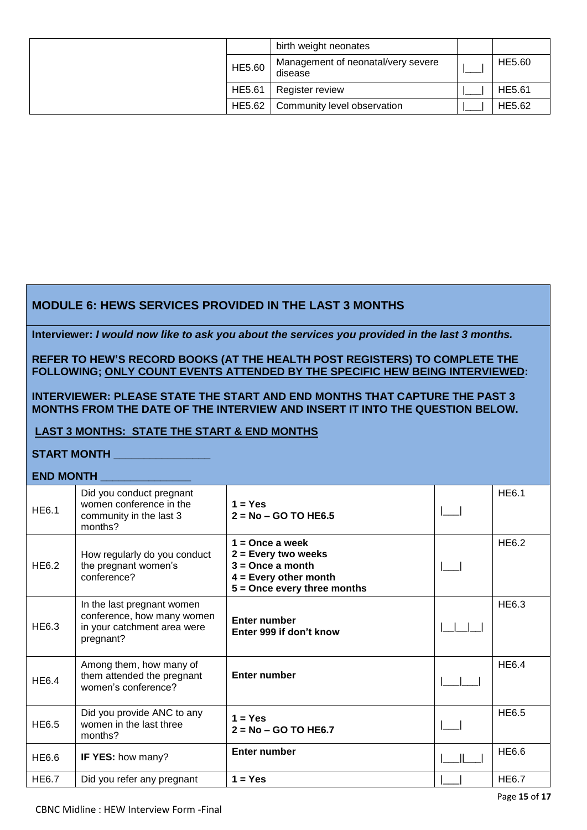|  |        | birth weight neonates                         |               |
|--|--------|-----------------------------------------------|---------------|
|  | HE5.60 | Management of neonatal/very severe<br>disease | <b>HE5.60</b> |
|  | HE5.61 | Register review                               | HE5.61        |
|  | HE5.62 | Community level observation                   | HE5.62        |

## **MODULE 6: HEWS SERVICES PROVIDED IN THE LAST 3 MONTHS**

**Interviewer:** *I would now like to ask you about the services you provided in the last 3 months.*

**REFER TO HEW'S RECORD BOOKS (AT THE HEALTH POST REGISTERS) TO COMPLETE THE FOLLOWING; ONLY COUNT EVENTS ATTENDED BY THE SPECIFIC HEW BEING INTERVIEWED:**

**INTERVIEWER: PLEASE STATE THE START AND END MONTHS THAT CAPTURE THE PAST 3 MONTHS FROM THE DATE OF THE INTERVIEW AND INSERT IT INTO THE QUESTION BELOW.** 

## **LAST 3 MONTHS: STATE THE START & END MONTHS**

#### **START MONTH \_\_\_\_\_\_\_\_\_\_\_\_\_\_\_\_**

#### **END MONTH \_\_\_\_\_\_\_\_\_\_\_\_\_\_\_**

| <b>HE6.1</b> | Did you conduct pregnant<br>women conference in the<br>community in the last 3<br>months?            | $1 = Yes$<br>$2 = No - GO TO HE6.5$                                                                                          | <b>HE6.1</b> |
|--------------|------------------------------------------------------------------------------------------------------|------------------------------------------------------------------------------------------------------------------------------|--------------|
| HE6.2        | How regularly do you conduct<br>the pregnant women's<br>conference?                                  | $1 =$ Once a week<br>$2 = Every two weeks$<br>$3 =$ Once a month<br>$4 = Every other month$<br>$5 =$ Once every three months | HE6.2        |
| HE6.3        | In the last pregnant women<br>conference, how many women<br>in your catchment area were<br>pregnant? | <b>Enter number</b><br>Enter 999 if don't know                                                                               | HE6.3        |
| <b>HE6.4</b> | Among them, how many of<br>them attended the pregnant<br>women's conference?                         | <b>Enter number</b>                                                                                                          | HE6.4        |
| <b>HE6.5</b> | Did you provide ANC to any<br>women in the last three<br>months?                                     | $1 = Yes$<br>$2 = No - GO TO HE6.7$                                                                                          | <b>HE6.5</b> |
| HE6.6        | IF YES: how many?                                                                                    | <b>Enter number</b>                                                                                                          | HE6.6        |
| <b>HE6.7</b> | Did you refer any pregnant                                                                           | $1 = Yes$                                                                                                                    | HE6.7        |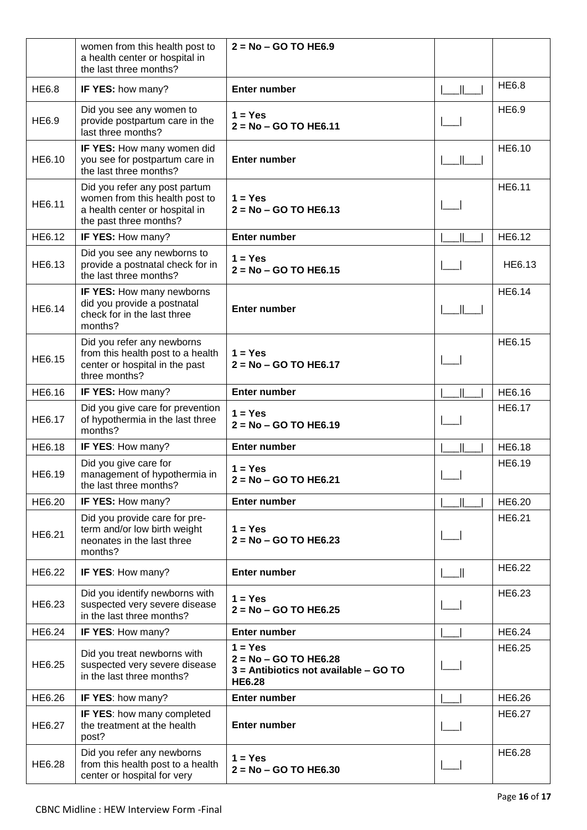|              | women from this health post to<br>a health center or hospital in<br>the last three months?                                  | $2 = No - GO TO HE6.9$                                                                         |              |              |
|--------------|-----------------------------------------------------------------------------------------------------------------------------|------------------------------------------------------------------------------------------------|--------------|--------------|
| <b>HE6.8</b> | IF YES: how many?                                                                                                           | <b>Enter number</b>                                                                            | $\mathbf{H}$ | <b>HE6.8</b> |
| <b>HE6.9</b> | Did you see any women to<br>provide postpartum care in the<br>last three months?                                            | $1 = Yes$<br>$2 = No - GO TO HE6.11$                                                           |              | HE6.9        |
| HE6.10       | IF YES: How many women did<br>you see for postpartum care in<br>the last three months?                                      | <b>Enter number</b>                                                                            |              | HE6.10       |
| HE6.11       | Did you refer any post partum<br>women from this health post to<br>a health center or hospital in<br>the past three months? | $1 = Yes$<br>$2 = No - GO TO HE6.13$                                                           |              | HE6.11       |
| HE6.12       | IF YES: How many?                                                                                                           | <b>Enter number</b>                                                                            |              | HE6.12       |
| HE6.13       | Did you see any newborns to<br>provide a postnatal check for in<br>the last three months?                                   | $1 = Yes$<br>$2 = No - GO TO HE6.15$                                                           |              | HE6.13       |
| HE6.14       | <b>IF YES:</b> How many newborns<br>did you provide a postnatal<br>check for in the last three<br>months?                   | <b>Enter number</b>                                                                            |              | HE6.14       |
| HE6.15       | Did you refer any newborns<br>from this health post to a health<br>center or hospital in the past<br>three months?          | $1 = Yes$<br>$2 = No - GO TO HE6.17$                                                           |              | HE6.15       |
| HE6.16       | IF YES: How many?                                                                                                           | <b>Enter number</b>                                                                            |              | HE6.16       |
| HE6.17       | Did you give care for prevention<br>of hypothermia in the last three<br>months?                                             | $1 = Yes$<br>$2 = No - GO TO HE6.19$                                                           |              | HE6.17       |
| HE6.18       | IF YES: How many?                                                                                                           | <b>Enter number</b>                                                                            |              | HE6.18       |
| HE6.19       | Did you give care for<br>management of hypothermia in<br>the last three months?                                             | $1 = Yes$<br>$2 = No - GO TO HE6.21$                                                           |              | HE6.19       |
| HE6.20       | IF YES: How many?                                                                                                           | <b>Enter number</b>                                                                            |              | HE6.20       |
| HE6.21       | Did you provide care for pre-<br>term and/or low birth weight<br>neonates in the last three<br>months?                      | $1 = Yes$<br>$2 = No - GO TO HE6.23$                                                           |              | HE6.21       |
| HE6.22       | IF YES: How many?                                                                                                           | <b>Enter number</b>                                                                            |              | HE6.22       |
| HE6.23       | Did you identify newborns with<br>suspected very severe disease<br>in the last three months?                                | $1 = Yes$<br>$2 = No - GO TO HE6.25$                                                           |              | HE6.23       |
| HE6.24       | IF YES: How many?                                                                                                           | <b>Enter number</b>                                                                            |              | HE6.24       |
| HE6.25       | Did you treat newborns with<br>suspected very severe disease<br>in the last three months?                                   | $1 = Yes$<br>$2 = No - GO TO HE6.28$<br>3 = Antibiotics not available - GO TO<br><b>HE6.28</b> |              | HE6.25       |
| HE6.26       | IF YES: how many?                                                                                                           | <b>Enter number</b>                                                                            |              | HE6.26       |
| HE6.27       | IF YES: how many completed<br>the treatment at the health<br>post?                                                          | <b>Enter number</b>                                                                            |              | HE6.27       |
| HE6.28       | Did you refer any newborns<br>from this health post to a health<br>center or hospital for very                              | $1 = Yes$<br>$2 = No - GO TO HE6.30$                                                           |              | HE6.28       |